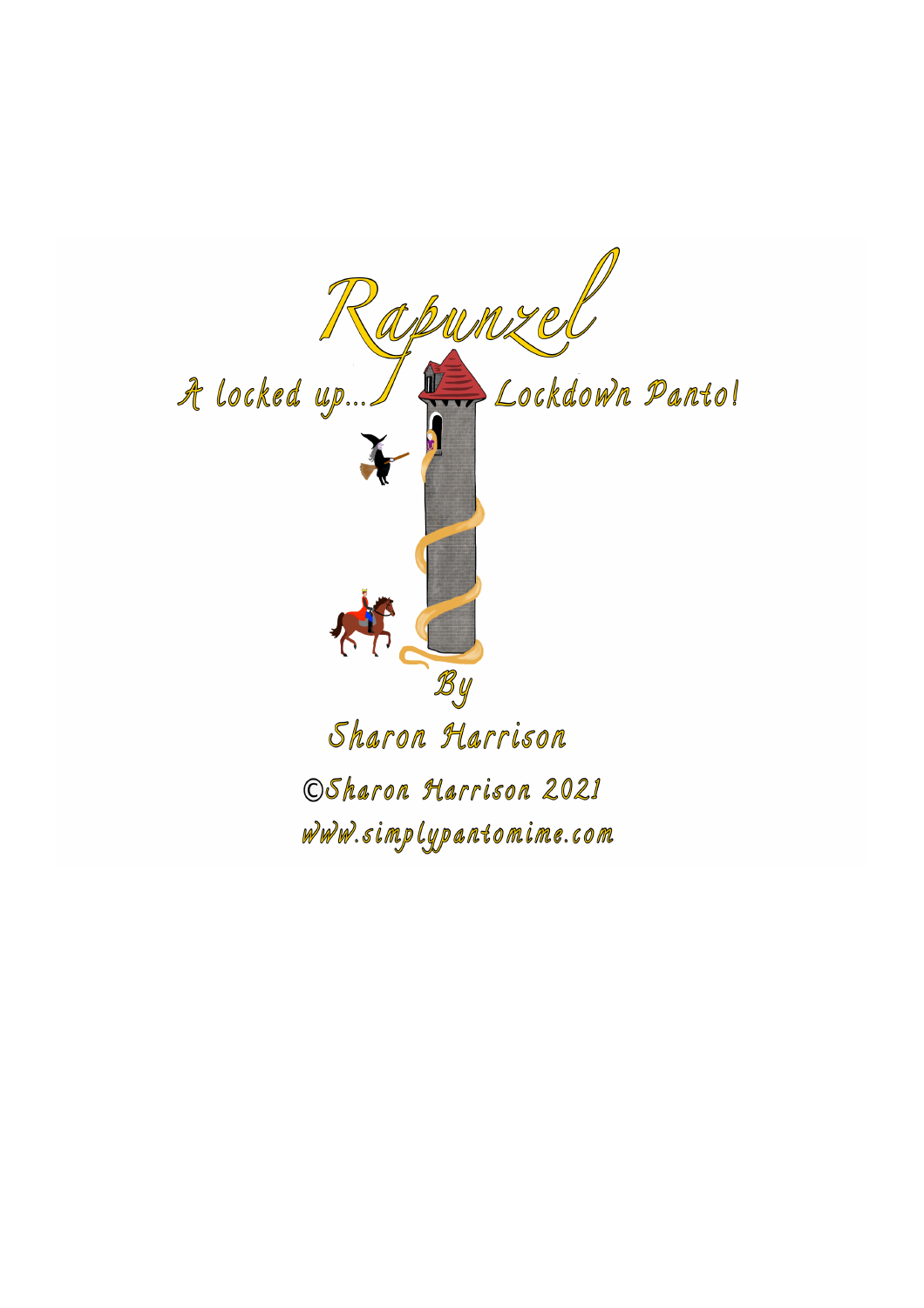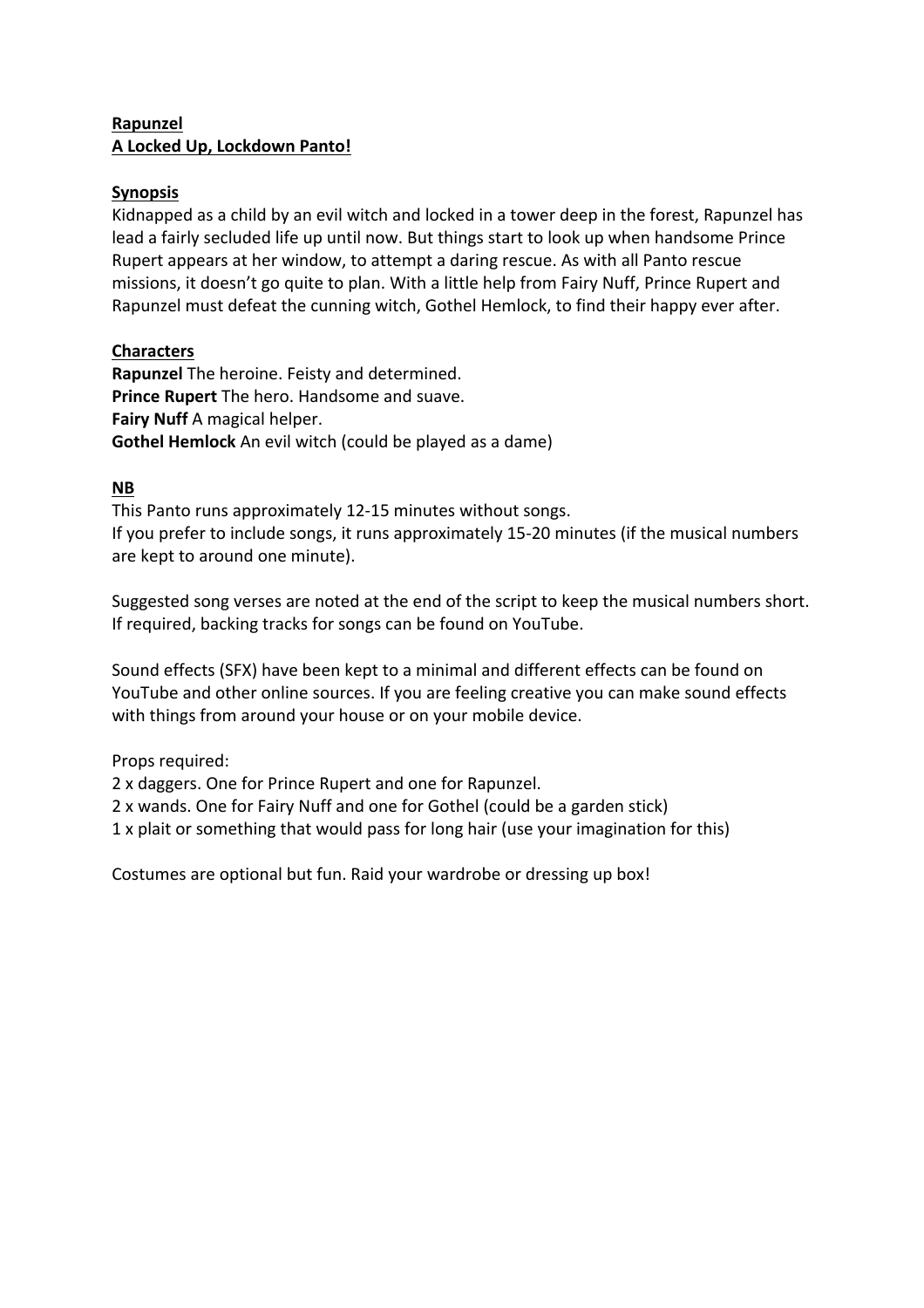# **Rapunzel A Locked Up, Lockdown Panto!**

## **Synopsis**

Kidnapped as a child by an evil witch and locked in a tower deep in the forest, Rapunzel has lead a fairly secluded life up until now. But things start to look up when handsome Prince Rupert appears at her window, to attempt a daring rescue. As with all Panto rescue missions, it doesn't go quite to plan. With a little help from Fairy Nuff, Prince Rupert and Rapunzel must defeat the cunning witch, Gothel Hemlock, to find their happy ever after.

# **Characters**

**Rapunzel** The heroine. Feisty and determined. **Prince Rupert** The hero. Handsome and suave. **Fairy Nuff** A magical helper. **Gothel Hemlock** An evil witch (could be played as a dame)

## **NB**

This Panto runs approximately 12-15 minutes without songs. If you prefer to include songs, it runs approximately 15-20 minutes (if the musical numbers are kept to around one minute).

Suggested song verses are noted at the end of the script to keep the musical numbers short. If required, backing tracks for songs can be found on YouTube.

Sound effects (SFX) have been kept to a minimal and different effects can be found on YouTube and other online sources. If you are feeling creative you can make sound effects with things from around your house or on your mobile device.

Props required:

2 x daggers. One for Prince Rupert and one for Rapunzel.

2 x wands. One for Fairy Nuff and one for Gothel (could be a garden stick)

1 x plait or something that would pass for long hair (use your imagination for this)

Costumes are optional but fun. Raid your wardrobe or dressing up box!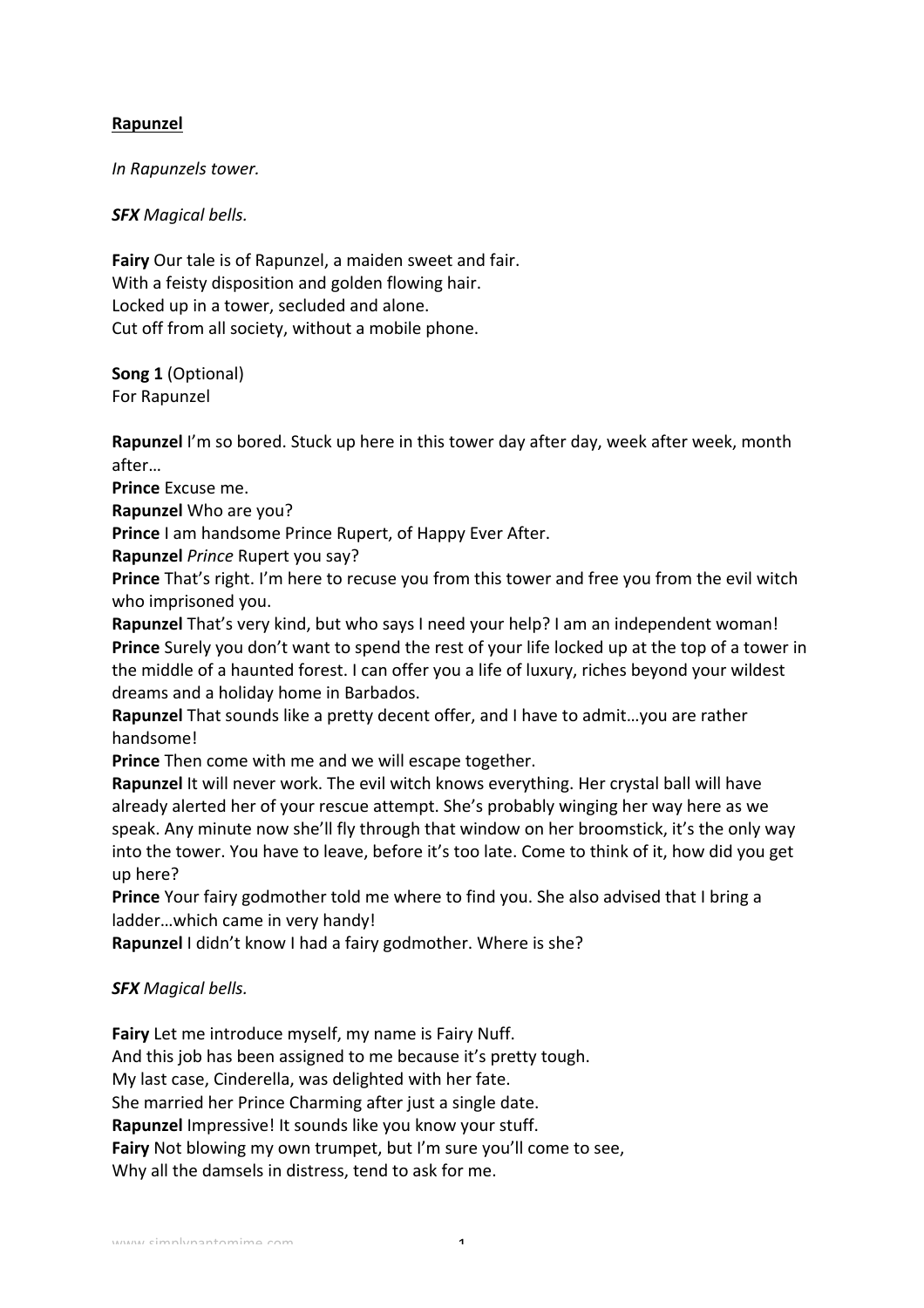# **Rapunzel**

*In Rapunzels tower.*

*SFX Magical bells.*

**Fairy** Our tale is of Rapunzel, a maiden sweet and fair. With a feisty disposition and golden flowing hair. Locked up in a tower, secluded and alone. Cut off from all society, without a mobile phone.

**Song 1** (Optional) For Rapunzel

**Rapunzel** I'm so bored. Stuck up here in this tower day after day, week after week, month after…

**Prince** Excuse me.

**Rapunzel** Who are you?

**Prince** I am handsome Prince Rupert, of Happy Ever After.

**Rapunzel** *Prince* Rupert you say?

**Prince** That's right. I'm here to recuse you from this tower and free you from the evil witch who imprisoned you.

**Rapunzel** That's very kind, but who says I need your help? I am an independent woman! **Prince** Surely you don't want to spend the rest of your life locked up at the top of a tower in the middle of a haunted forest. I can offer you a life of luxury, riches beyond your wildest dreams and a holiday home in Barbados.

**Rapunzel** That sounds like a pretty decent offer, and I have to admit...you are rather handsome!

**Prince** Then come with me and we will escape together.

**Rapunzel** It will never work. The evil witch knows everything. Her crystal ball will have already alerted her of your rescue attempt. She's probably winging her way here as we speak. Any minute now she'll fly through that window on her broomstick, it's the only way into the tower. You have to leave, before it's too late. Come to think of it, how did you get up here?

**Prince** Your fairy godmother told me where to find you. She also advised that I bring a ladder...which came in very handy!

**Rapunzel** I didn't know I had a fairy godmother. Where is she?

## *SFX Magical bells.*

**Fairy** Let me introduce myself, my name is Fairy Nuff. And this job has been assigned to me because it's pretty tough. My last case, Cinderella, was delighted with her fate. She married her Prince Charming after just a single date. **Rapunzel** Impressive! It sounds like you know your stuff. **Fairy** Not blowing my own trumpet, but I'm sure you'll come to see, Why all the damsels in distress, tend to ask for me.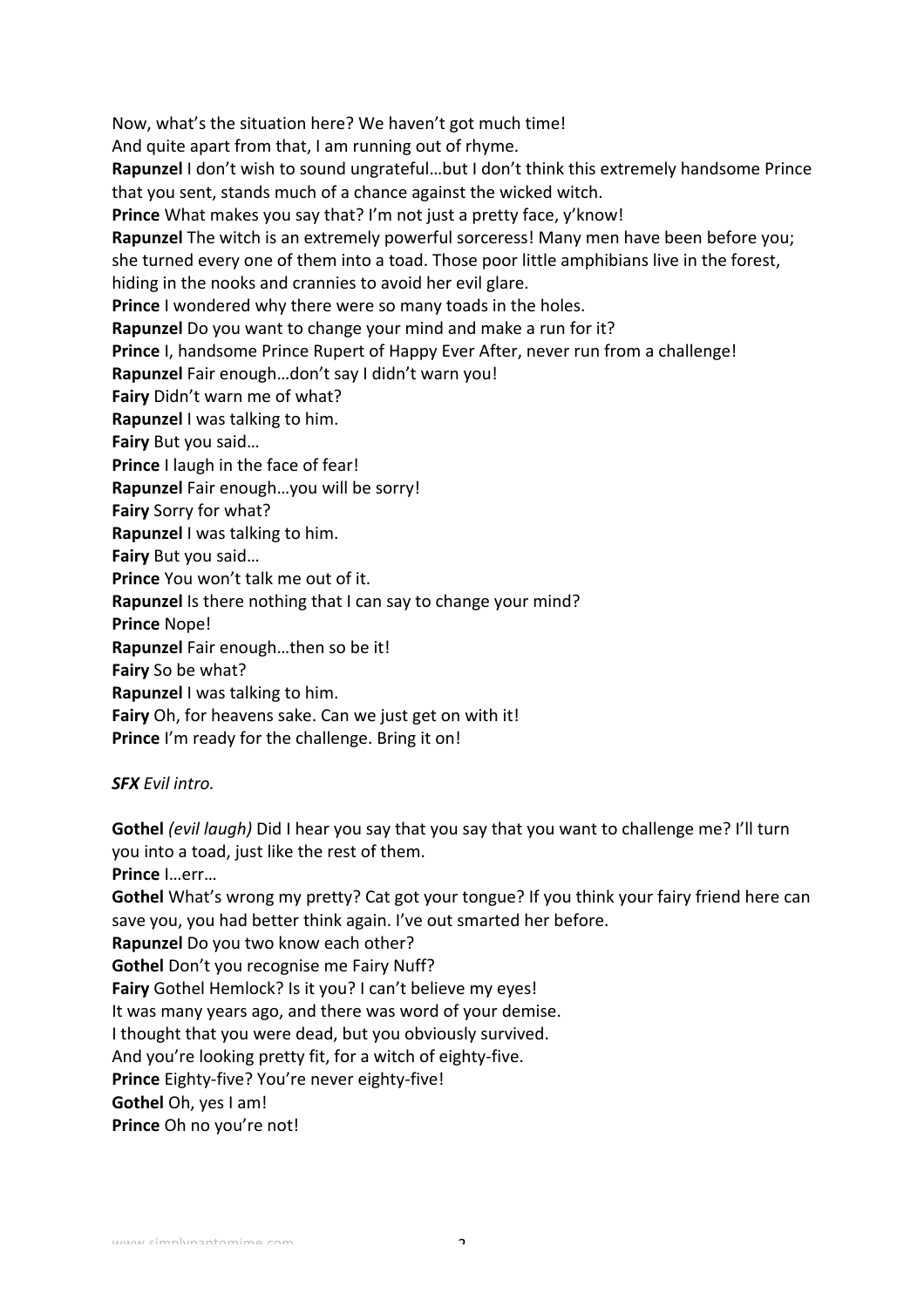Now, what's the situation here? We haven't got much time!

And quite apart from that, I am running out of rhyme.

Rapunzel I don't wish to sound ungrateful...but I don't think this extremely handsome Prince that you sent, stands much of a chance against the wicked witch.

**Prince** What makes you say that? I'm not just a pretty face, y'know!

**Rapunzel** The witch is an extremely powerful sorceress! Many men have been before you; she turned every one of them into a toad. Those poor little amphibians live in the forest, hiding in the nooks and crannies to avoid her evil glare.

**Prince** I wondered why there were so many toads in the holes.

**Rapunzel** Do you want to change your mind and make a run for it?

**Prince** I, handsome Prince Rupert of Happy Ever After, never run from a challenge!

Rapunzel Fair enough...don't say I didn't warn you!

**Fairy** Didn't warn me of what?

**Rapunzel** I was talking to him.

**Fairy** But you said...

**Prince** I laugh in the face of fear!

**Rapunzel** Fair enough...you will be sorry!

**Fairy** Sorry for what?

**Rapunzel** I was talking to him.

**Fairy** But you said...

**Prince** You won't talk me out of it.

**Rapunzel** Is there nothing that I can say to change your mind?

**Prince** Nope!

**Rapunzel** Fair enough...then so be it!

**Fairy** So be what?

**Rapunzel** I was talking to him.

**Fairy** Oh, for heavens sake. Can we just get on with it!

**Prince** I'm ready for the challenge. Bring it on!

### *SFX Evil intro.*

**Gothel** *(evil laugh)* Did I hear you say that you say that you want to challenge me? I'll turn you into a toad, just like the rest of them. **Prince** I…err…

**Gothel** What's wrong my pretty? Cat got your tongue? If you think your fairy friend here can save you, you had better think again. I've out smarted her before.

**Rapunzel** Do you two know each other?

**Gothel** Don't you recognise me Fairy Nuff?

**Fairy** Gothel Hemlock? Is it you? I can't believe my eyes!

It was many years ago, and there was word of your demise.

I thought that you were dead, but you obviously survived.

And you're looking pretty fit, for a witch of eighty-five.

**Prince** Eighty-five? You're never eighty-five!

**Gothel** Oh, yes I am!

**Prince** Oh no you're not!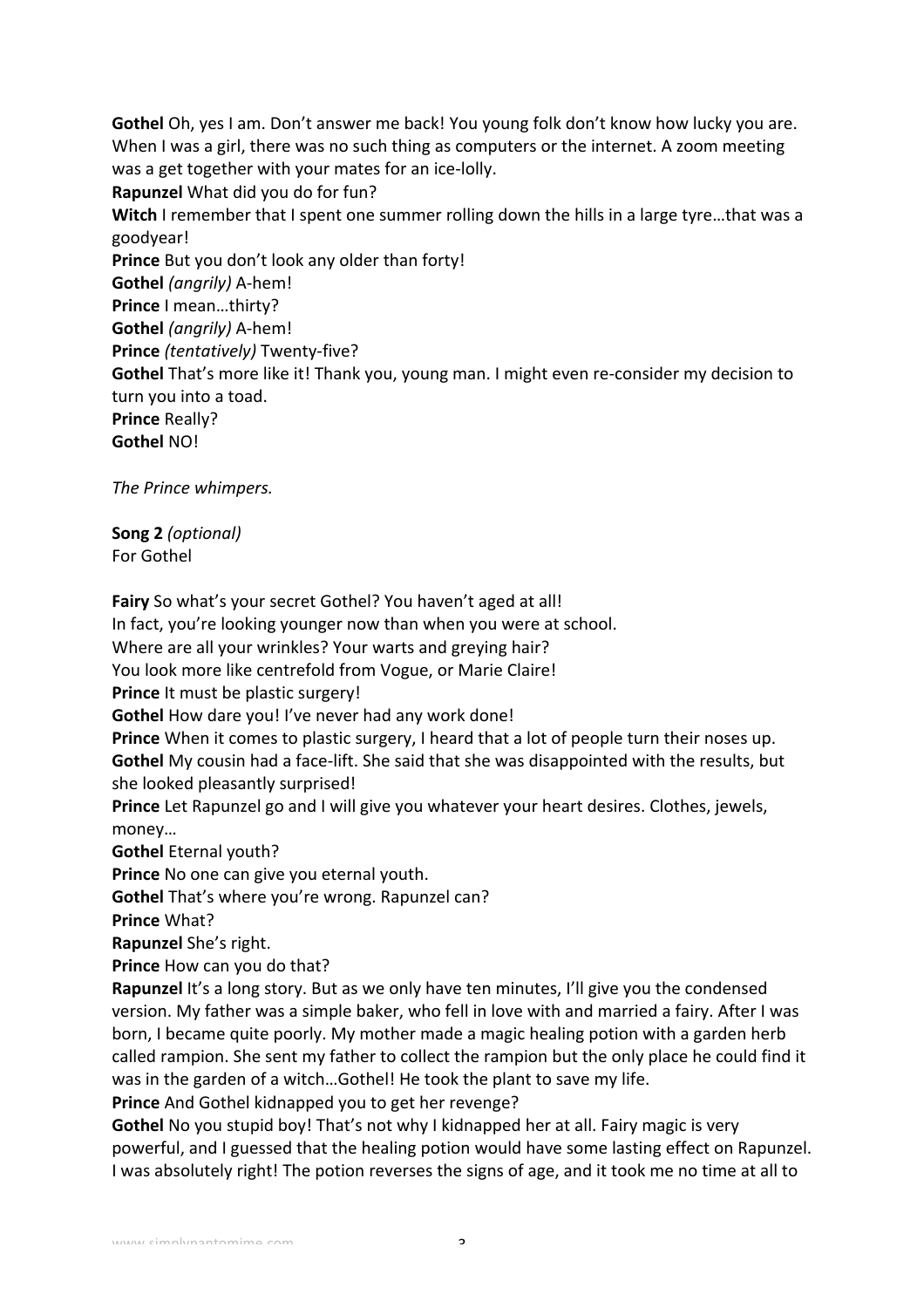**Gothel** Oh, yes I am. Don't answer me back! You young folk don't know how lucky you are. When I was a girl, there was no such thing as computers or the internet. A zoom meeting was a get together with your mates for an ice-lolly. **Rapunzel** What did you do for fun? **Witch** I remember that I spent one summer rolling down the hills in a large tyre...that was a goodyear! **Prince** But you don't look any older than forty! **Gothel** *(angrily)* A-hem! **Prince** I mean...thirty? **Gothel** *(angrily)* A-hem! **Prince** *(tentatively)* Twenty-five? **Gothel** That's more like it! Thank you, young man. I might even re-consider my decision to turn you into a toad. **Prince Really? Gothel** NO! 

*The Prince whimpers.*

**Song 2** *(optional)* For Gothel

Fairy So what's your secret Gothel? You haven't aged at all!

In fact, you're looking younger now than when you were at school.

Where are all your wrinkles? Your warts and greying hair?

You look more like centrefold from Vogue, or Marie Claire!

**Prince** It must be plastic surgery!

**Gothel How dare you! I've never had any work done!** 

**Prince** When it comes to plastic surgery, I heard that a lot of people turn their noses up. **Gothel** My cousin had a face-lift. She said that she was disappointed with the results, but she looked pleasantly surprised!

**Prince** Let Rapunzel go and I will give you whatever your heart desires. Clothes, jewels, money…

**Gothel Eternal youth?** 

**Prince** No one can give you eternal youth.

**Gothel** That's where you're wrong. Rapunzel can?

**Prince** What?

**Rapunzel** She's right.

**Prince** How can you do that?

**Rapunzel** It's a long story. But as we only have ten minutes, I'll give you the condensed version. My father was a simple baker, who fell in love with and married a fairy. After I was born, I became quite poorly. My mother made a magic healing potion with a garden herb called rampion. She sent my father to collect the rampion but the only place he could find it was in the garden of a witch...Gothel! He took the plant to save my life.

**Prince** And Gothel kidnapped you to get her revenge?

**Gothel** No you stupid boy! That's not why I kidnapped her at all. Fairy magic is very powerful, and I guessed that the healing potion would have some lasting effect on Rapunzel. I was absolutely right! The potion reverses the signs of age, and it took me no time at all to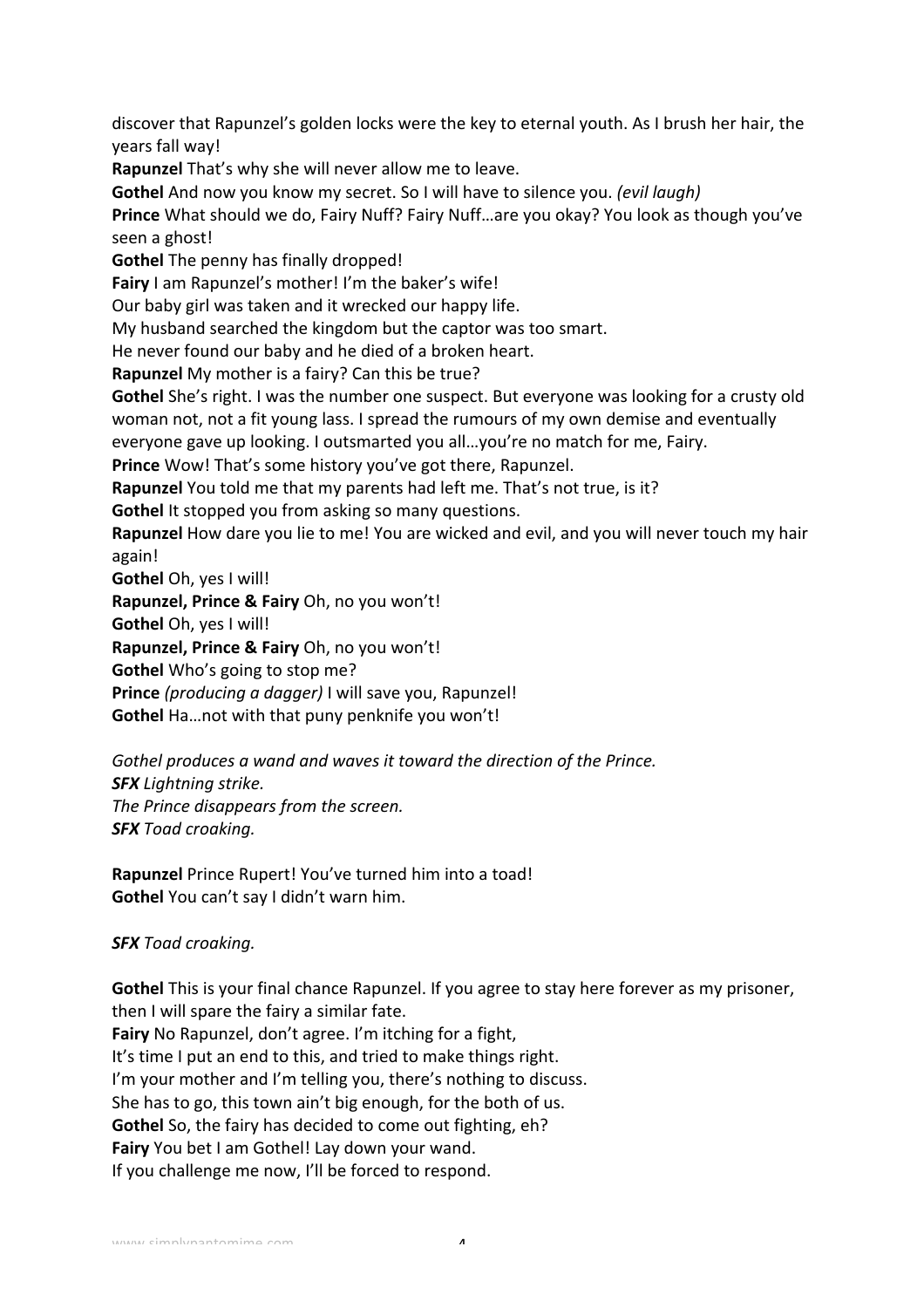discover that Rapunzel's golden locks were the key to eternal youth. As I brush her hair, the years fall way!

**Rapunzel** That's why she will never allow me to leave.

**Gothel** And now you know my secret. So I will have to silence you. *(evil laugh)* 

**Prince** What should we do, Fairy Nuff? Fairy Nuff...are you okay? You look as though you've seen a ghost!

**Gothel** The penny has finally dropped!

**Fairy** I am Rapunzel's mother! I'm the baker's wife!

Our baby girl was taken and it wrecked our happy life.

My husband searched the kingdom but the captor was too smart.

He never found our baby and he died of a broken heart.

**Rapunzel** My mother is a fairy? Can this be true?

**Gothel** She's right. I was the number one suspect. But everyone was looking for a crusty old woman not, not a fit young lass. I spread the rumours of my own demise and eventually

everyone gave up looking. I outsmarted you all...you're no match for me, Fairy.

**Prince** Wow! That's some history you've got there, Rapunzel.

**Rapunzel** You told me that my parents had left me. That's not true, is it?

**Gothel** It stopped you from asking so many questions.

**Rapunzel** How dare you lie to me! You are wicked and evil, and you will never touch my hair again!

**Gothel** Oh, yes I will!

**Rapunzel, Prince & Fairy** Oh, no you won't!

**Gothel** Oh, yes I will!

**Rapunzel, Prince & Fairy** Oh, no you won't!

**Gothel** Who's going to stop me?

**Prince** (producing a dagger) I will save you, Rapunzel!

**Gothel** Ha ... not with that puny penknife you won't!

Gothel produces a wand and waves it toward the direction of the Prince. *SFX Lightning strike.*  The Prince disappears from the screen. *SFX Toad croaking.*

**Rapunzel** Prince Rupert! You've turned him into a toad! **Gothel** You can't say I didn't warn him.

## *SFX Toad croaking.*

**Gothel** This is your final chance Rapunzel. If you agree to stay here forever as my prisoner, then I will spare the fairy a similar fate.

**Fairy** No Rapunzel, don't agree. I'm itching for a fight, It's time I put an end to this, and tried to make things right. I'm your mother and I'm telling you, there's nothing to discuss. She has to go, this town ain't big enough, for the both of us. **Gothel** So, the fairy has decided to come out fighting, eh? **Fairy** You bet I am Gothel! Lay down your wand. If you challenge me now, I'll be forced to respond.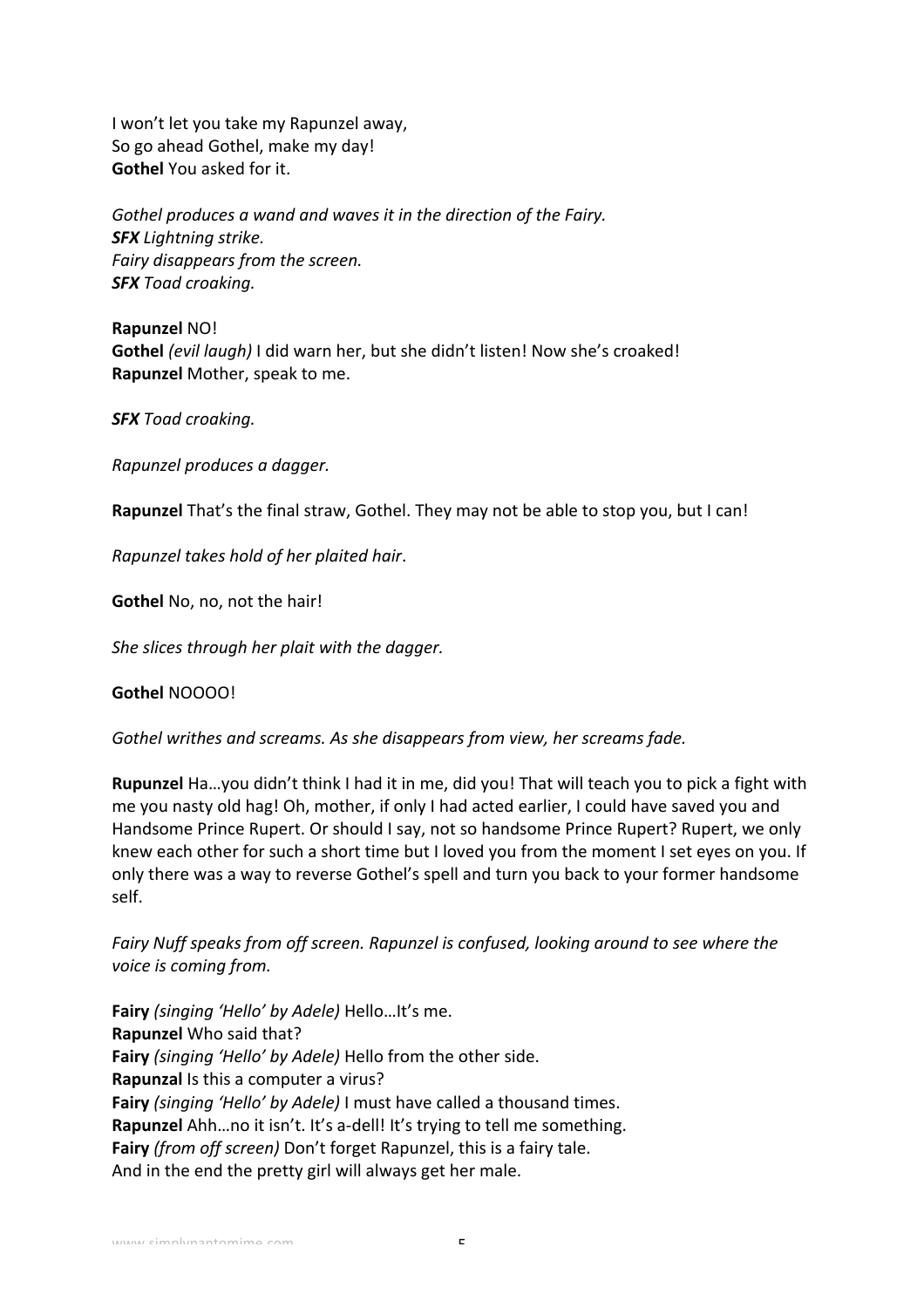I won't let you take my Rapunzel away, So go ahead Gothel, make my day! **Gothel You asked for it.** 

Gothel produces a wand and waves it in the direction of the Fairy. **SFX** Lightning strike. *Fairy disappears from the screen. SFX Toad croaking.*

**Rapunzel NO! Gothel** (evil laugh) I did warn her, but she didn't listen! Now she's croaked! **Rapunzel** Mother, speak to me.

*SFX Toad croaking.*

*Rapunzel produces a dagger.*

**Rapunzel** That's the final straw, Gothel. They may not be able to stop you, but I can!

*Rapunzel takes hold of her plaited hair*.

**Gothel** No, no, not the hair!

*She slices through her plait with the dagger.* 

**Gothel** NOOOO! 

*Gothel writhes and screams. As she disappears from view, her screams fade.* 

**Rupunzel** Ha...you didn't think I had it in me, did you! That will teach you to pick a fight with me you nasty old hag! Oh, mother, if only I had acted earlier, I could have saved you and Handsome Prince Rupert. Or should I say, not so handsome Prince Rupert? Rupert, we only knew each other for such a short time but I loved you from the moment I set eyes on you. If only there was a way to reverse Gothel's spell and turn you back to your former handsome self. 

*Fairy* Nuff speaks from off screen. Rapunzel is confused, looking around to see where the *voice is coming from.* 

Fairy (singing 'Hello' by Adele) Hello...It's me. **Rapunzel** Who said that? **Fairy** (singing 'Hello' by Adele) Hello from the other side. **Rapunzal** Is this a computer a virus? **Fairy** *(singing 'Hello' by Adele)* I must have called a thousand times. **Rapunzel** Ahh...no it isn't. It's a-dell! It's trying to tell me something. **Fairy** *(from off screen)* Don't forget Rapunzel, this is a fairy tale. And in the end the pretty girl will always get her male.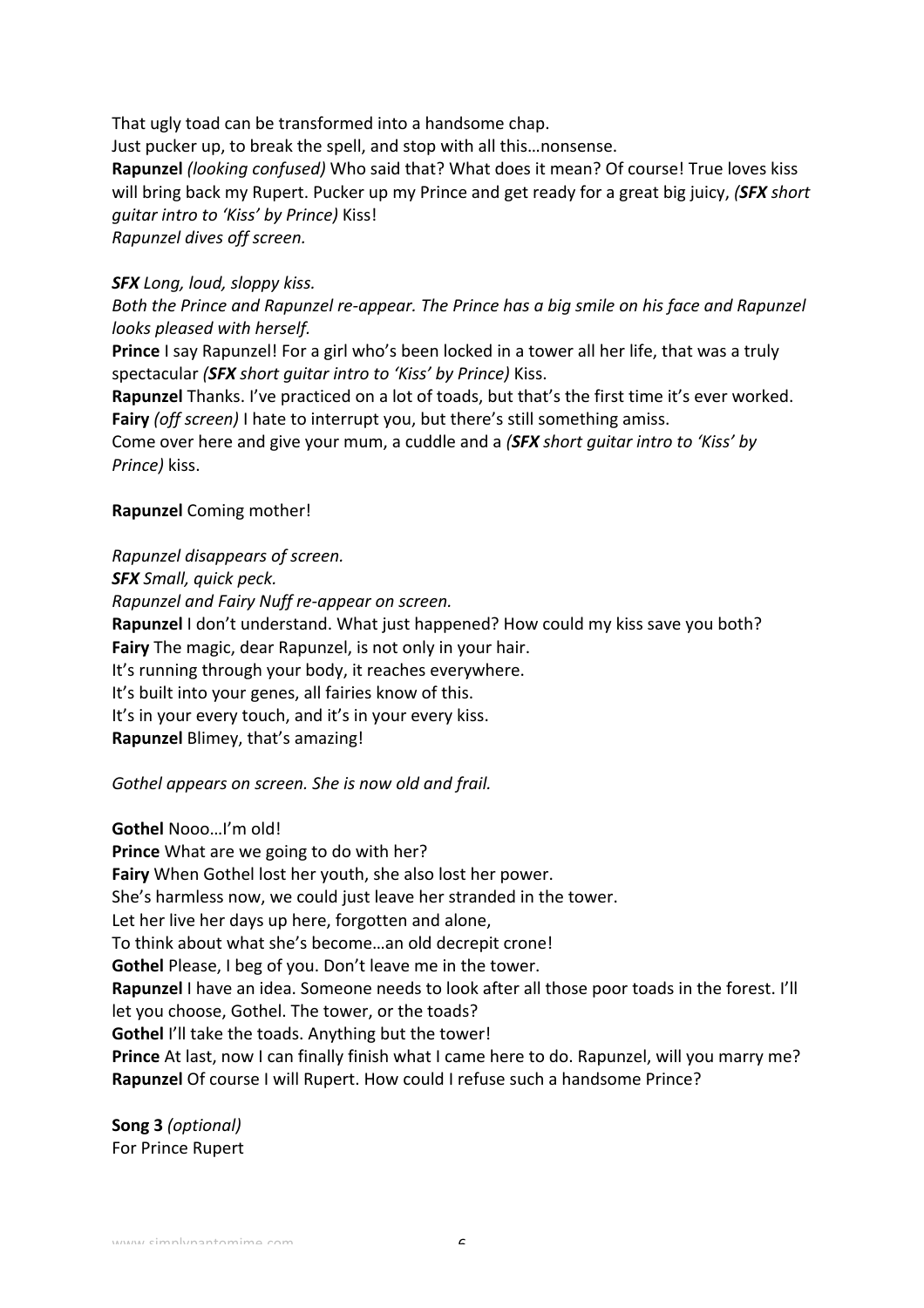That ugly toad can be transformed into a handsome chap.

Just pucker up, to break the spell, and stop with all this...nonsense.

**Rapunzel** *(looking confused)* Who said that? What does it mean? Of course! True loves kiss will bring back my Rupert. Pucker up my Prince and get ready for a great big juicy, *(SFX short*) *guitar intro to 'Kiss' by Prince)* Kiss!

*Rapunzel dives off screen.* 

### *SFX Long, loud, sloppy kiss.*

*Both the Prince and Rapunzel re-appear. The Prince has a big smile on his face and Rapunzel looks pleased with herself.*

**Prince** I say Rapunzel! For a girl who's been locked in a tower all her life, that was a truly spectacular *(SFX short quitar intro to 'Kiss' by Prince)* Kiss.

**Rapunzel** Thanks. I've practiced on a lot of toads, but that's the first time it's ever worked. **Fairy** (off screen) I hate to interrupt you, but there's still something amiss.

Come over here and give your mum, a cuddle and a *(SFX short quitar intro to 'Kiss' by Prince)* kiss.

## **Rapunzel** Coming mother!

*Rapunzel disappears of screen.*

*SFX Small, quick peck.*

*Rapunzel and Fairy Nuff re-appear on screen.*

**Rapunzel** I don't understand. What just happened? How could my kiss save you both? **Fairy** The magic, dear Rapunzel, is not only in your hair.

It's running through your body, it reaches everywhere.

It's built into your genes, all fairies know of this.

It's in your every touch, and it's in your every kiss.

**Rapunzel Blimey, that's amazing!** 

*Gothel appears on screen. She is now old and frail.* 

**Gothel Nooo...I'm old! Prince** What are we going to do with her? Fairy When Gothel lost her youth, she also lost her power. She's harmless now, we could just leave her stranded in the tower. Let her live her days up here, forgotten and alone, To think about what she's become...an old decrepit crone! **Gothel** Please, I beg of you. Don't leave me in the tower. **Rapunzel** I have an idea. Someone needs to look after all those poor toads in the forest. I'll let you choose, Gothel. The tower, or the toads? **Gothel** I'll take the toads. Anything but the tower! **Prince** At last, now I can finally finish what I came here to do. Rapunzel, will you marry me? **Rapunzel** Of course I will Rupert. How could I refuse such a handsome Prince?

**Song 3** *(optional)* For Prince Rupert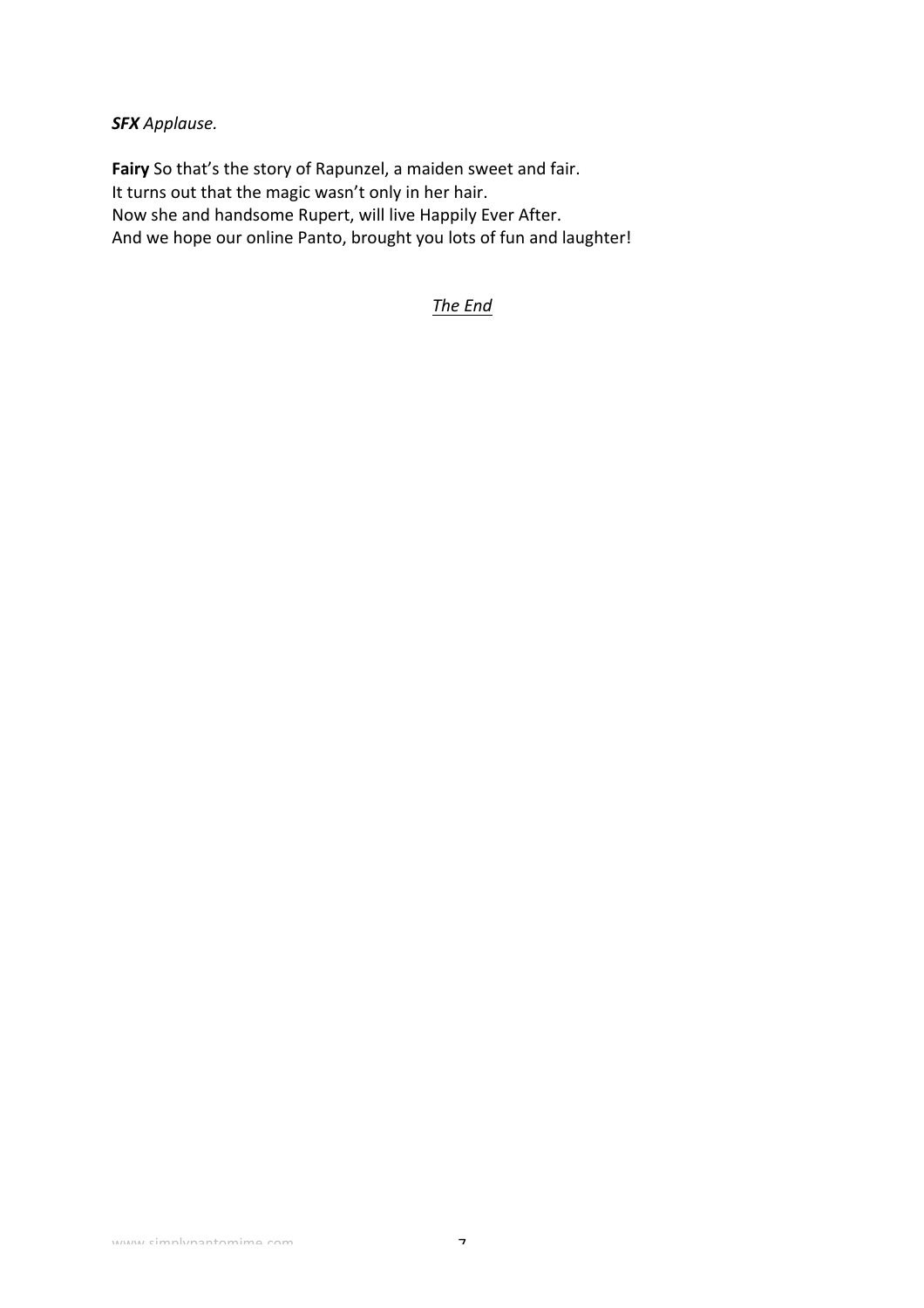*SFX Applause.*

Fairy So that's the story of Rapunzel, a maiden sweet and fair. It turns out that the magic wasn't only in her hair. Now she and handsome Rupert, will live Happily Ever After. And we hope our online Panto, brought you lots of fun and laughter!

**The End**